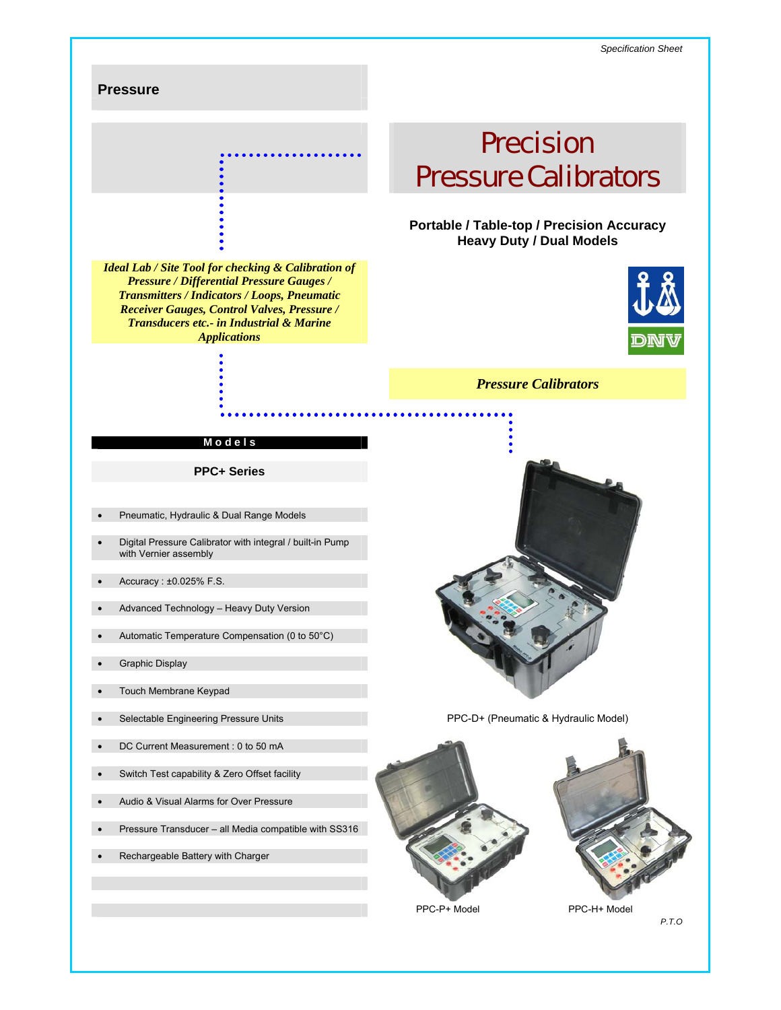